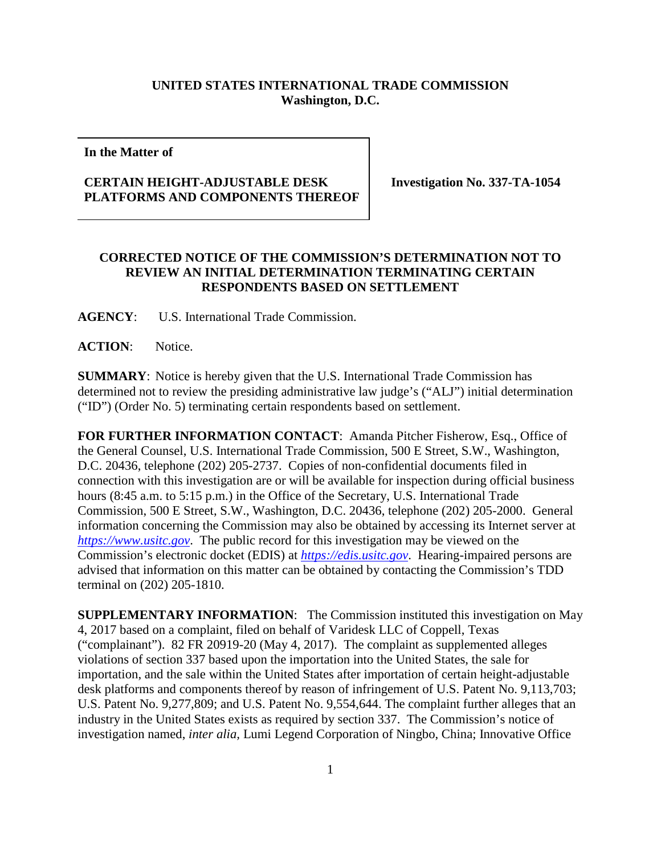## **UNITED STATES INTERNATIONAL TRADE COMMISSION Washington, D.C.**

**In the Matter of**

## **CERTAIN HEIGHT-ADJUSTABLE DESK PLATFORMS AND COMPONENTS THEREOF**

**Investigation No. 337-TA-1054**

## **CORRECTED NOTICE OF THE COMMISSION'S DETERMINATION NOT TO REVIEW AN INITIAL DETERMINATION TERMINATING CERTAIN RESPONDENTS BASED ON SETTLEMENT**

**AGENCY**: U.S. International Trade Commission.

**ACTION**: Notice.

**SUMMARY**: Notice is hereby given that the U.S. International Trade Commission has determined not to review the presiding administrative law judge's ("ALJ") initial determination ("ID") (Order No. 5) terminating certain respondents based on settlement.

**FOR FURTHER INFORMATION CONTACT**: Amanda Pitcher Fisherow, Esq., Office of the General Counsel, U.S. International Trade Commission, 500 E Street, S.W., Washington, D.C. 20436, telephone (202) 205-2737. Copies of non-confidential documents filed in connection with this investigation are or will be available for inspection during official business hours (8:45 a.m. to 5:15 p.m.) in the Office of the Secretary, U.S. International Trade Commission, 500 E Street, S.W., Washington, D.C. 20436, telephone (202) 205-2000. General information concerning the Commission may also be obtained by accessing its Internet server at *[https://www.usitc.gov](https://www.usitc.gov/)*. The public record for this investigation may be viewed on the Commission's electronic docket (EDIS) at *[https://edis.usitc.gov](https://edis.usitc.gov/)*. Hearing-impaired persons are advised that information on this matter can be obtained by contacting the Commission's TDD terminal on (202) 205-1810.

**SUPPLEMENTARY INFORMATION**: The Commission instituted this investigation on May 4, 2017 based on a complaint, filed on behalf of Varidesk LLC of Coppell, Texas ("complainant"). 82 FR 20919-20 (May 4, 2017). The complaint as supplemented alleges violations of section 337 based upon the importation into the United States, the sale for importation, and the sale within the United States after importation of certain height-adjustable desk platforms and components thereof by reason of infringement of U.S. Patent No. 9,113,703; U.S. Patent No. 9,277,809; and U.S. Patent No. 9,554,644. The complaint further alleges that an industry in the United States exists as required by section 337. The Commission's notice of investigation named, *inter alia,* Lumi Legend Corporation of Ningbo, China; Innovative Office